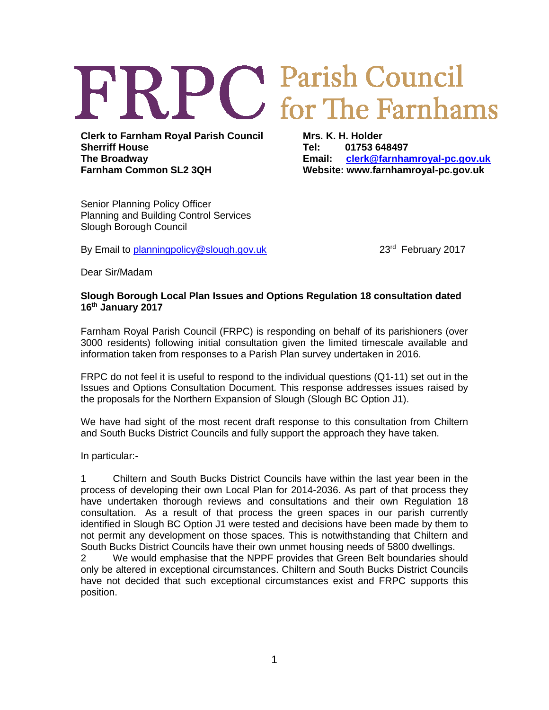## **FRPC** Parish Council

**Clerk to Farnham Royal Parish Council Sherriff House The Broadway Farnham Common SL2 3QH**

**Mrs. K. H. Holder Tel: 01753 648497 Email: [clerk@farnhamroyal-pc.gov.uk](mailto:clerk@farnhamroyal-pc.gov.uk) Website: www.farnhamroyal-pc.gov.uk**

Senior Planning Policy Officer Planning and Building Control Services Slough Borough Council

By Email to [planningpolicy@slough.gov.uk](mailto:planningpolicy@slough.gov.uk) 23<sup>rd</sup> February 2017

Dear Sir/Madam

## **Slough Borough Local Plan Issues and Options Regulation 18 consultation dated 16th January 2017**

Farnham Royal Parish Council (FRPC) is responding on behalf of its parishioners (over 3000 residents) following initial consultation given the limited timescale available and information taken from responses to a Parish Plan survey undertaken in 2016.

FRPC do not feel it is useful to respond to the individual questions (Q1-11) set out in the Issues and Options Consultation Document. This response addresses issues raised by the proposals for the Northern Expansion of Slough (Slough BC Option J1).

We have had sight of the most recent draft response to this consultation from Chiltern and South Bucks District Councils and fully support the approach they have taken.

In particular:-

1 Chiltern and South Bucks District Councils have within the last year been in the process of developing their own Local Plan for 2014-2036. As part of that process they have undertaken thorough reviews and consultations and their own Regulation 18 consultation. As a result of that process the green spaces in our parish currently identified in Slough BC Option J1 were tested and decisions have been made by them to not permit any development on those spaces. This is notwithstanding that Chiltern and South Bucks District Councils have their own unmet housing needs of 5800 dwellings.

2 We would emphasise that the NPPF provides that Green Belt boundaries should only be altered in exceptional circumstances. Chiltern and South Bucks District Councils have not decided that such exceptional circumstances exist and FRPC supports this position.